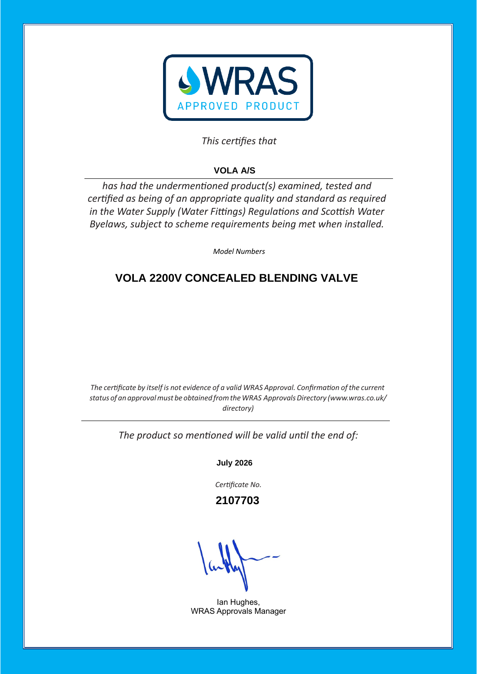

#### This certifies that

# **VOLA A/S**

*has had the undermentioned product(s) examined, tested and* certified as being of an appropriate quality and standard as required *in the Water Supply (Water Fittings) Regulations and Scottish Water Byelaws, subject to scheme requirements being met when installed.* 

*Model Numbers* 

## **VOLA 2200V CONCEALED BLENDING VALVE**

*The certificate by itself is not evidence of a valid WRAS Approval. Confirmation of the current status of an approvalmust be obtained fromtheWRAS ApprovalsDirectory (www.wras.co.uk/ directory)*

The product so mentioned will be valid until the end of:

**July 2026**

Certificate No.

 **2107703**

Ian Hughes, WRAS Approvals Manager